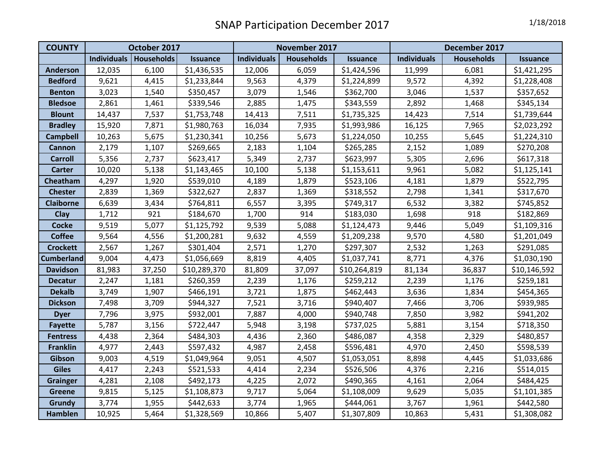| <b>COUNTY</b>     | October 2017 |                          |                 | November 2017      |                   |                 | December 2017      |                   |              |
|-------------------|--------------|--------------------------|-----------------|--------------------|-------------------|-----------------|--------------------|-------------------|--------------|
|                   |              | Individuals   Households | <b>Issuance</b> | <b>Individuals</b> | <b>Households</b> | <b>Issuance</b> | <b>Individuals</b> | <b>Households</b> | Issuance     |
| <b>Anderson</b>   | 12,035       | 6,100                    | \$1,436,535     | 12,006             | 6,059             | \$1,424,596     | 11,999             | 6,081             | \$1,421,295  |
| <b>Bedford</b>    | 9,621        | 4,415                    | \$1,233,844     | 9,563              | 4,379             | \$1,224,899     | 9,572              | 4,392             | \$1,228,408  |
| <b>Benton</b>     | 3,023        | 1,540                    | \$350,457       | 3,079              | 1,546             | \$362,700       | 3,046              | 1,537             | \$357,652    |
| <b>Bledsoe</b>    | 2,861        | 1,461                    | \$339,546       | 2,885              | 1,475             | \$343,559       | 2,892              | 1,468             | \$345,134    |
| <b>Blount</b>     | 14,437       | 7,537                    | \$1,753,748     | 14,413             | 7,511             | \$1,735,325     | 14,423             | 7,514             | \$1,739,644  |
| <b>Bradley</b>    | 15,920       | 7,871                    | \$1,980,763     | 16,034             | 7,935             | \$1,993,986     | 16,125             | 7,965             | \$2,023,292  |
| <b>Campbell</b>   | 10,263       | 5,675                    | \$1,230,341     | 10,256             | 5,673             | \$1,224,050     | 10,255             | 5,645             | \$1,224,310  |
| <b>Cannon</b>     | 2,179        | 1,107                    | \$269,665       | 2,183              | 1,104             | \$265,285       | 2,152              | 1,089             | \$270,208    |
| <b>Carroll</b>    | 5,356        | 2,737                    | \$623,417       | 5,349              | 2,737             | \$623,997       | 5,305              | 2,696             | \$617,318    |
| <b>Carter</b>     | 10,020       | 5,138                    | \$1,143,465     | 10,100             | 5,138             | \$1,153,611     | 9,961              | 5,082             | \$1,125,141  |
| Cheatham          | 4,297        | 1,920                    | \$539,010       | 4,189              | 1,879             | \$523,106       | 4,181              | 1,879             | \$522,795    |
| <b>Chester</b>    | 2,839        | 1,369                    | \$322,627       | 2,837              | 1,369             | \$318,552       | 2,798              | 1,341             | \$317,670    |
| <b>Claiborne</b>  | 6,639        | 3,434                    | \$764,811       | 6,557              | 3,395             | \$749,317       | 6,532              | 3,382             | \$745,852    |
| <b>Clay</b>       | 1,712        | 921                      | \$184,670       | 1,700              | 914               | \$183,030       | 1,698              | 918               | \$182,869    |
| <b>Cocke</b>      | 9,519        | 5,077                    | \$1,125,792     | 9,539              | 5,088             | \$1,124,473     | 9,446              | 5,049             | \$1,109,316  |
| <b>Coffee</b>     | 9,564        | 4,556                    | \$1,200,281     | 9,632              | 4,559             | \$1,209,238     | 9,570              | 4,580             | \$1,201,049  |
| <b>Crockett</b>   | 2,567        | 1,267                    | \$301,404       | 2,571              | 1,270             | \$297,307       | 2,532              | 1,263             | \$291,085    |
| <b>Cumberland</b> | 9,004        | 4,473                    | \$1,056,669     | 8,819              | 4,405             | \$1,037,741     | 8,771              | 4,376             | \$1,030,190  |
| <b>Davidson</b>   | 81,983       | 37,250                   | \$10,289,370    | 81,809             | 37,097            | \$10,264,819    | 81,134             | 36,837            | \$10,146,592 |
| <b>Decatur</b>    | 2,247        | 1,181                    | \$260,359       | 2,239              | 1,176             | \$259,212       | 2,239              | 1,176             | \$259,181    |
| <b>Dekalb</b>     | 3,749        | 1,907                    | \$466,191       | 3,721              | 1,875             | \$462,443       | 3,636              | 1,834             | \$454,365    |
| <b>Dickson</b>    | 7,498        | 3,709                    | \$944,327       | 7,521              | 3,716             | \$940,407       | 7,466              | 3,706             | \$939,985    |
| <b>Dyer</b>       | 7,796        | 3,975                    | \$932,001       | 7,887              | 4,000             | \$940,748       | 7,850              | 3,982             | \$941,202    |
| <b>Fayette</b>    | 5,787        | 3,156                    | \$722,447       | 5,948              | 3,198             | \$737,025       | 5,881              | 3,154             | \$718,350    |
| <b>Fentress</b>   | 4,438        | 2,364                    | \$484,303       | 4,436              | 2,360             | \$486,087       | 4,358              | 2,329             | \$480,857    |
| <b>Franklin</b>   | 4,977        | 2,443                    | \$597,432       | 4,987              | 2,458             | \$596,481       | 4,970              | 2,450             | \$598,539    |
| Gibson            | 9,003        | 4,519                    | \$1,049,964     | 9,051              | 4,507             | \$1,053,051     | 8,898              | 4,445             | \$1,033,686  |
| <b>Giles</b>      | 4,417        | 2,243                    | \$521,533       | 4,414              | 2,234             | \$526,506       | 4,376              | 2,216             | \$514,015    |
| <b>Grainger</b>   | 4,281        | 2,108                    | \$492,173       | 4,225              | 2,072             | \$490,365       | 4,161              | 2,064             | \$484,425    |
| <b>Greene</b>     | 9,815        | 5,125                    | \$1,108,873     | 9,717              | 5,064             | \$1,108,009     | 9,629              | 5,035             | \$1,101,385  |
| Grundy            | 3,774        | 1,955                    | \$442,633       | 3,774              | 1,965             | \$444,061       | 3,767              | 1,961             | \$442,580    |
| <b>Hamblen</b>    | 10,925       | 5,464                    | \$1,328,569     | 10,866             | 5,407             | \$1,307,809     | 10,863             | 5,431             | \$1,308,082  |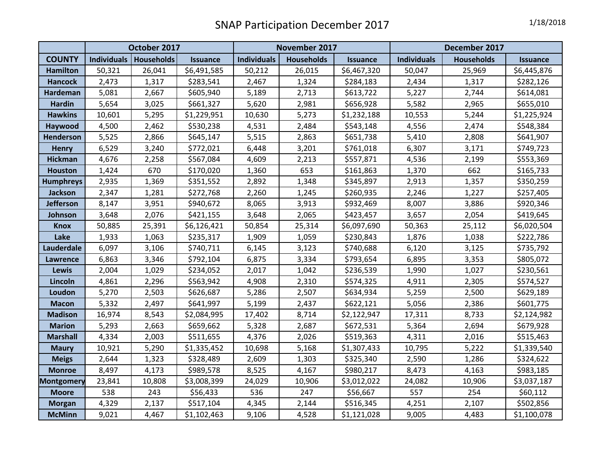|                   | October 2017       |            |                 | November 2017      |                   |                 | December 2017      |                   |                 |
|-------------------|--------------------|------------|-----------------|--------------------|-------------------|-----------------|--------------------|-------------------|-----------------|
| <b>COUNTY</b>     | <b>Individuals</b> | Households | <b>Issuance</b> | <b>Individuals</b> | <b>Households</b> | <b>Issuance</b> | <b>Individuals</b> | <b>Households</b> | <b>Issuance</b> |
| <b>Hamilton</b>   | 50,321             | 26,041     | \$6,491,585     | 50,212             | 26,015            | \$6,467,320     | 50,047             | 25,969            | \$6,445,876     |
| <b>Hancock</b>    | 2,473              | 1,317      | \$283,541       | 2,467              | 1,324             | \$284,183       | 2,434              | 1,317             | \$282,126       |
| <b>Hardeman</b>   | 5,081              | 2,667      | \$605,940       | 5,189              | 2,713             | \$613,722       | 5,227              | 2,744             | \$614,081       |
| <b>Hardin</b>     | 5,654              | 3,025      | \$661,327       | 5,620              | 2,981             | \$656,928       | 5,582              | 2,965             | \$655,010       |
| <b>Hawkins</b>    | 10,601             | 5,295      | \$1,229,951     | 10,630             | 5,273             | \$1,232,188     | 10,553             | 5,244             | \$1,225,924     |
| Haywood           | 4,500              | 2,462      | \$530,238       | 4,531              | 2,484             | \$543,148       | 4,556              | 2,474             | \$548,384       |
| Henderson         | 5,525              | 2,866      | \$645,147       | 5,515              | 2,863             | \$651,738       | 5,410              | 2,808             | \$641,907       |
| <b>Henry</b>      | 6,529              | 3,240      | \$772,021       | 6,448              | 3,201             | \$761,018       | 6,307              | 3,171             | \$749,723       |
| <b>Hickman</b>    | 4,676              | 2,258      | \$567,084       | 4,609              | 2,213             | \$557,871       | 4,536              | 2,199             | \$553,369       |
| <b>Houston</b>    | 1,424              | 670        | \$170,020       | 1,360              | 653               | \$161,863       | 1,370              | 662               | \$165,733       |
| <b>Humphreys</b>  | 2,935              | 1,369      | \$351,552       | 2,892              | 1,348             | \$345,897       | 2,913              | 1,357             | \$350,259       |
| <b>Jackson</b>    | 2,347              | 1,281      | \$272,768       | 2,260              | 1,245             | \$260,935       | 2,246              | 1,227             | \$257,405       |
| <b>Jefferson</b>  | 8,147              | 3,951      | \$940,672       | 8,065              | 3,913             | \$932,469       | 8,007              | 3,886             | \$920,346       |
| Johnson           | 3,648              | 2,076      | \$421,155       | 3,648              | 2,065             | \$423,457       | 3,657              | 2,054             | \$419,645       |
| <b>Knox</b>       | 50,885             | 25,391     | \$6,126,421     | 50,854             | 25,314            | \$6,097,690     | 50,363             | 25,112            | \$6,020,504     |
| Lake              | 1,933              | 1,063      | \$235,317       | 1,909              | 1,059             | \$230,843       | 1,876              | 1,038             | \$222,786       |
| Lauderdale        | 6,097              | 3,106      | \$740,711       | 6,145              | 3,123             | \$740,688       | 6,120              | 3,125             | \$735,792       |
| <b>Lawrence</b>   | 6,863              | 3,346      | \$792,104       | 6,875              | 3,334             | \$793,654       | 6,895              | 3,353             | \$805,072       |
| Lewis             | 2,004              | 1,029      | \$234,052       | 2,017              | 1,042             | \$236,539       | 1,990              | 1,027             | \$230,561       |
| Lincoln           | 4,861              | 2,296      | \$563,942       | 4,908              | 2,310             | \$574,325       | 4,911              | 2,305             | \$574,527       |
| Loudon            | 5,270              | 2,503      | \$626,687       | 5,286              | 2,507             | \$634,934       | 5,259              | 2,500             | \$629,189       |
| <b>Macon</b>      | 5,332              | 2,497      | \$641,997       | 5,199              | 2,437             | \$622,121       | 5,056              | 2,386             | \$601,775       |
| <b>Madison</b>    | 16,974             | 8,543      | \$2,084,995     | 17,402             | 8,714             | \$2,122,947     | 17,311             | 8,733             | \$2,124,982     |
| <b>Marion</b>     | 5,293              | 2,663      | \$659,662       | 5,328              | 2,687             | \$672,531       | 5,364              | 2,694             | \$679,928       |
| <b>Marshall</b>   | 4,334              | 2,003      | \$511,655       | 4,376              | 2,026             | \$519,363       | 4,311              | 2,016             | \$515,463       |
| <b>Maury</b>      | 10,921             | 5,290      | \$1,335,452     | 10,698             | 5,168             | \$1,307,433     | 10,795             | 5,222             | \$1,339,540     |
| <b>Meigs</b>      | 2,644              | 1,323      | \$328,489       | 2,609              | 1,303             | \$325,340       | 2,590              | 1,286             | \$324,622       |
| <b>Monroe</b>     | 8,497              | 4,173      | \$989,578       | 8,525              | 4,167             | \$980,217       | 8,473              | 4,163             | \$983,185       |
| <b>Montgomery</b> | 23,841             | 10,808     | \$3,008,399     | 24,029             | 10,906            | \$3,012,022     | 24,082             | 10,906            | \$3,037,187     |
| <b>Moore</b>      | 538                | 243        | \$56,433        | 536                | 247               | \$56,667        | 557                | 254               | \$60,112        |
| <b>Morgan</b>     | 4,329              | 2,137      | \$517,104       | 4,345              | 2,144             | \$516,345       | 4,251              | 2,107             | \$502,856       |
| <b>McMinn</b>     | 9,021              | 4,467      | \$1,102,463     | 9,106              | 4,528             | \$1,121,028     | 9,005              | 4,483             | \$1,100,078     |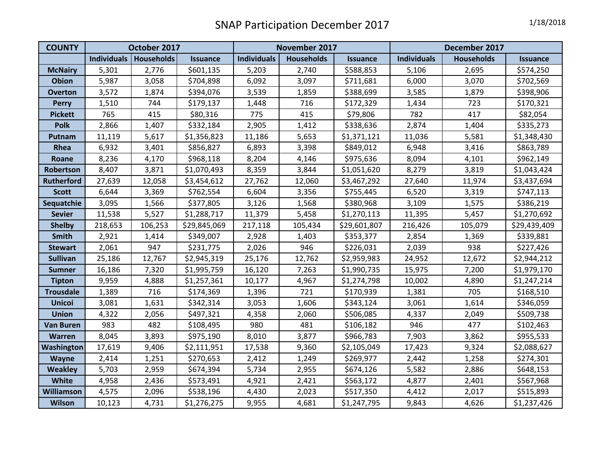| <b>COUNTY</b>     | October 2017       |                   |                 | November 2017      |                   |                 | December 2017      |                   |                 |
|-------------------|--------------------|-------------------|-----------------|--------------------|-------------------|-----------------|--------------------|-------------------|-----------------|
|                   | <b>Individuals</b> | <b>Households</b> | <b>Issuance</b> | <b>Individuals</b> | <b>Households</b> | <b>Issuance</b> | <b>Individuals</b> | <b>Households</b> | <b>Issuance</b> |
| <b>McNairy</b>    | 5,301              | 2,776             | \$601,135       | 5,203              | 2,740             | \$588,853       | 5,106              | 2,695             | \$574,250       |
| <b>Obion</b>      | 5,987              | 3,058             | \$704,898       | 6,092              | 3,097             | \$711,681       | 6,000              | 3,070             | \$702,569       |
| <b>Overton</b>    | 3,572              | 1,874             | \$394,076       | 3,539              | 1,859             | \$388,699       | 3,585              | 1,879             | \$398,906       |
| <b>Perry</b>      | 1,510              | 744               | \$179,137       | 1,448              | 716               | \$172,329       | 1,434              | 723               | \$170,321       |
| <b>Pickett</b>    | 765                | 415               | \$80,316        | 775                | 415               | \$79,806        | 782                | 417               | \$82,054        |
| <b>Polk</b>       | 2,866              | 1,407             | \$332,184       | 2,905              | 1,412             | \$338,636       | 2,874              | 1,404             | \$335,273       |
| <b>Putnam</b>     | 11,119             | 5,617             | \$1,356,823     | 11,186             | 5,653             | \$1,371,121     | 11,036             | 5,581             | \$1,348,430     |
| Rhea              | 6,932              | 3,401             | \$856,827       | 6,893              | 3,398             | \$849,012       | 6,948              | 3,416             | \$863,789       |
| Roane             | 8,236              | 4,170             | \$968,118       | 8,204              | 4,146             | \$975,636       | 8,094              | 4,101             | \$962,149       |
| Robertson         | 8,407              | 3,871             | \$1,070,493     | 8,359              | 3,844             | \$1,051,620     | 8,279              | 3,819             | \$1,043,424     |
| <b>Rutherford</b> | 27,639             | 12,058            | \$3,454,612     | 27,762             | 12,060            | \$3,467,292     | 27,640             | 11,974            | \$3,437,694     |
| <b>Scott</b>      | 6,644              | 3,369             | \$762,554       | 6,604              | 3,356             | \$755,445       | 6,520              | 3,319             | \$747,113       |
| Sequatchie        | 3,095              | 1,566             | \$377,805       | 3,126              | 1,568             | \$380,968       | 3,109              | 1,575             | \$386,219       |
| <b>Sevier</b>     | 11,538             | 5,527             | \$1,288,717     | 11,379             | 5,458             | \$1,270,113     | 11,395             | 5,457             | \$1,270,692     |
| <b>Shelby</b>     | 218,653            | 106,253           | \$29,845,069    | 217,118            | 105,434           | \$29,601,807    | 216,426            | 105,079           | \$29,439,409    |
| Smith             | 2,921              | 1,414             | \$349,007       | 2,928              | 1,403             | \$353,377       | 2,854              | 1,369             | \$339,881       |
| <b>Stewart</b>    | 2,061              | 947               | \$231,775       | 2,026              | 946               | \$226,031       | 2,039              | 938               | \$227,426       |
| <b>Sullivan</b>   | 25,186             | 12,767            | \$2,945,319     | 25,176             | 12,762            | \$2,959,983     | 24,952             | 12,672            | \$2,944,212     |
| <b>Sumner</b>     | 16,186             | 7,320             | \$1,995,759     | 16,120             | 7,263             | \$1,990,735     | 15,975             | 7,200             | \$1,979,170     |
| <b>Tipton</b>     | 9,959              | 4,888             | \$1,257,361     | 10,177             | 4,967             | \$1,274,798     | 10,002             | 4,890             | \$1,247,214     |
| <b>Trousdale</b>  | 1,389              | 716               | \$174,369       | 1,396              | 721               | \$170,939       | 1,381              | 705               | \$168,510       |
| <b>Unicoi</b>     | 3,081              | 1,631             | \$342,314       | 3,053              | 1,606             | \$343,124       | 3,061              | 1,614             | \$346,059       |
| <b>Union</b>      | 4,322              | 2,056             | \$497,321       | 4,358              | 2,060             | \$506,085       | 4,337              | 2,049             | \$509,738       |
| <b>Van Buren</b>  | 983                | 482               | \$108,495       | 980                | 481               | \$106,182       | 946                | 477               | \$102,463       |
| <b>Warren</b>     | 8,045              | 3,893             | \$975,190       | 8,010              | 3,877             | \$966,783       | 7,903              | 3,862             | \$955,533       |
| Washington        | 17,619             | 9,406             | \$2,111,951     | 17,538             | 9,360             | \$2,105,049     | 17,423             | 9,324             | \$2,088,627     |
| Wayne             | 2,414              | 1,251             | \$270,653       | 2,412              | 1,249             | \$269,977       | 2,442              | 1,258             | \$274,301       |
| <b>Weakley</b>    | 5,703              | 2,959             | \$674,394       | 5,734              | 2,955             | \$674,126       | 5,582              | 2,886             | \$648,153       |
| <b>White</b>      | 4,958              | 2,436             | \$573,491       | 4,921              | 2,421             | \$563,172       | 4,877              | 2,401             | \$567,968       |
| Williamson        | 4,575              | 2,096             | \$538,196       | 4,430              | 2,023             | \$517,350       | 4,412              | 2,017             | \$515,893       |
| <b>Wilson</b>     | 10,123             | 4,731             | \$1,276,275     | 9,955              | 4,681             | \$1,247,795     | 9,843              | 4,626             | \$1,237,426     |